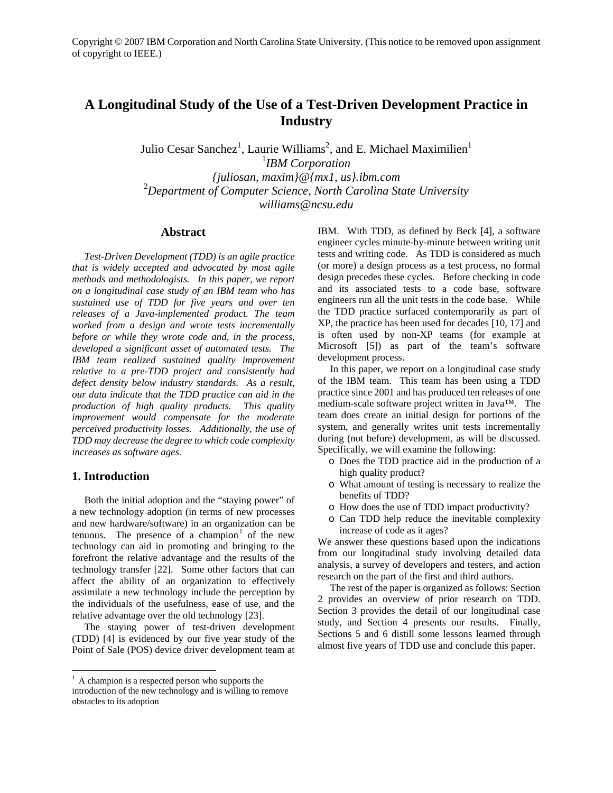# **A Longitudinal Study of the Use of a Test-Driven Development Practice in Industry**

Julio Cesar Sanchez<sup>1</sup>, Laurie Williams<sup>2</sup>, and E. Michael Maximilien<sup>1</sup> 1 *IBM Corporation {juliosan, maxim}@{mx1, us}.ibm.com*  2 *Department of Computer Science, North Carolina State University williams@ncsu.edu* 

## **Abstract**

*Test-Driven Development (TDD) is an agile practice that is widely accepted and advocated by most agile methods and methodologists. In this paper, we report on a longitudinal case study of an IBM team who has sustained use of TDD for five years and over ten releases of a Java-implemented product. The team worked from a design and wrote tests incrementally before or while they wrote code and, in the process, developed a significant asset of automated tests. The IBM team realized sustained quality improvement relative to a pre-TDD project and consistently had defect density below industry standards. As a result, our data indicate that the TDD practice can aid in the production of high quality products. This quality improvement would compensate for the moderate perceived productivity losses. Additionally, the use of TDD may decrease the degree to which code complexity increases as software ages.* 

# **1. Introduction**

Both the initial adoption and the "staying power" of a new technology adoption (in terms of new processes and new hardware/software) in an organization can be tenuous. The presence of a champion<sup>1</sup> of the new technology can aid in promoting and bringing to the forefront the relative advantage and the results of the technology transfer [22]. Some other factors that can affect the ability of an organization to effectively assimilate a new technology include the perception by the individuals of the usefulness, ease of use, and the relative advantage over the old technology [23].

The staying power of test-driven development (TDD) [4] is evidenced by our five year study of the Point of Sale (POS) device driver development team at

IBM. With TDD, as defined by Beck [4], a software engineer cycles minute-by-minute between writing unit tests and writing code. As TDD is considered as much (or more) a design process as a test process, no formal design precedes these cycles. Before checking in code and its associated tests to a code base, software engineers run all the unit tests in the code base. While the TDD practice surfaced contemporarily as part of XP, the practice has been used for decades [10, 17] and is often used by non-XP teams (for example at Microsoft [5]) as part of the team's software development process.

In this paper, we report on a longitudinal case study of the IBM team. This team has been using a TDD practice since 2001 and has produced ten releases of one medium-scale software project written in Java™. The team does create an initial design for portions of the system, and generally writes unit tests incrementally during (not before) development, as will be discussed. Specifically, we will examine the following:

- o Does the TDD practice aid in the production of a high quality product?
- o What amount of testing is necessary to realize the benefits of TDD?
- o How does the use of TDD impact productivity?
- o Can TDD help reduce the inevitable complexity increase of code as it ages?

We answer these questions based upon the indications from our longitudinal study involving detailed data analysis, a survey of developers and testers, and action research on the part of the first and third authors.

The rest of the paper is organized as follows: Section 2 provides an overview of prior research on TDD. Section 3 provides the detail of our longitudinal case study, and Section 4 presents our results. Finally, Sections 5 and 6 distill some lessons learned through almost five years of TDD use and conclude this paper.

<sup>&</sup>lt;sup>1</sup> A champion is a respected person who supports the introduction of the new technology and is willing to remove obstacles to its adoption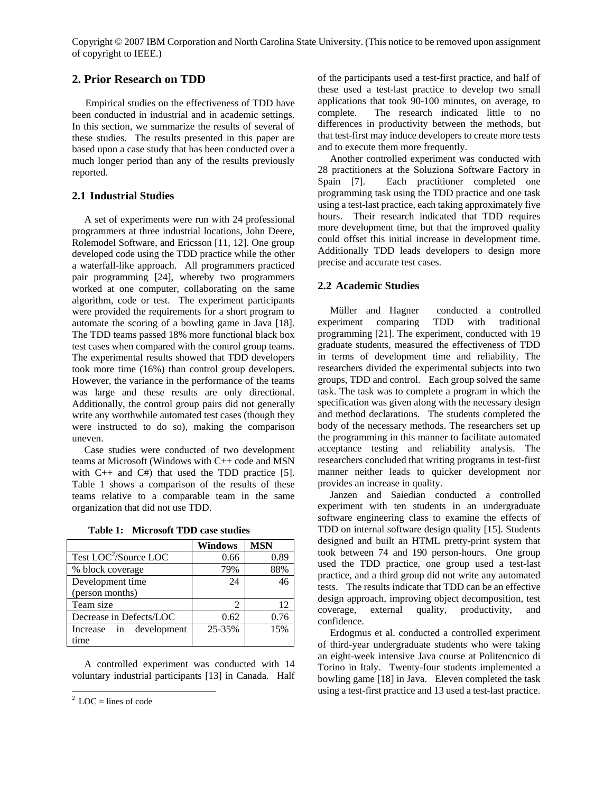# **2. Prior Research on TDD**

Empirical studies on the effectiveness of TDD have been conducted in industrial and in academic settings. In this section, we summarize the results of several of these studies. The results presented in this paper are based upon a case study that has been conducted over a much longer period than any of the results previously reported.

### **2.1 Industrial Studies**

A set of experiments were run with 24 professional programmers at three industrial locations, John Deere, Rolemodel Software, and Ericsson [11, 12]. One group developed code using the TDD practice while the other a waterfall-like approach. All programmers practiced pair programming [24], whereby two programmers worked at one computer, collaborating on the same algorithm, code or test. The experiment participants were provided the requirements for a short program to automate the scoring of a bowling game in Java [18]. The TDD teams passed 18% more functional black box test cases when compared with the control group teams. The experimental results showed that TDD developers took more time (16%) than control group developers. However, the variance in the performance of the teams was large and these results are only directional. Additionally, the control group pairs did not generally write any worthwhile automated test cases (though they were instructed to do so), making the comparison uneven.

Case studies were conducted of two development teams at Microsoft (Windows with C++ code and MSN with  $C_{++}$  and  $C_{+}$  that used the TDD practice [5]. Table 1 shows a comparison of the results of these teams relative to a comparable team in the same organization that did not use TDD.

**Table 1: Microsoft TDD case studies** 

|                                   | <b>Windows</b> | <b>MSN</b> |
|-----------------------------------|----------------|------------|
| Test LOC <sup>2</sup> /Source LOC | 0.66           | 0.89       |
| % block coverage                  | 79%            | 88%        |
| Development time                  | 24             | 46         |
| (person months)                   |                |            |
| Team size                         | 2              | 12         |
| Decrease in Defects/LOC           | 0.62           | 0.76       |
| Increase in development           | 25-35%         | 15%        |
| time                              |                |            |

A controlled experiment was conducted with 14 voluntary industrial participants [13] in Canada. Half

-

of the participants used a test-first practice, and half of these used a test-last practice to develop two small applications that took 90-100 minutes, on average, to complete. The research indicated little to no differences in productivity between the methods, but that test-first may induce developers to create more tests and to execute them more frequently.

Another controlled experiment was conducted with 28 practitioners at the Soluziona Software Factory in Spain [7]. Each practitioner completed one programming task using the TDD practice and one task using a test-last practice, each taking approximately five hours. Their research indicated that TDD requires more development time, but that the improved quality could offset this initial increase in development time. Additionally TDD leads developers to design more precise and accurate test cases.

# **2.2 Academic Studies**

Müller and Hagner conducted a controlled experiment comparing TDD with traditional programming [21]. The experiment, conducted with 19 graduate students, measured the effectiveness of TDD in terms of development time and reliability. The researchers divided the experimental subjects into two groups, TDD and control. Each group solved the same task. The task was to complete a program in which the specification was given along with the necessary design and method declarations. The students completed the body of the necessary methods. The researchers set up the programming in this manner to facilitate automated acceptance testing and reliability analysis. The researchers concluded that writing programs in test-first manner neither leads to quicker development nor provides an increase in quality.

Janzen and Saiedian conducted a controlled experiment with ten students in an undergraduate software engineering class to examine the effects of TDD on internal software design quality [15]. Students designed and built an HTML pretty-print system that took between 74 and 190 person-hours. One group used the TDD practice, one group used a test-last practice, and a third group did not write any automated tests. The results indicate that TDD can be an effective design approach, improving object decomposition, test coverage, external quality, productivity, and confidence.

Erdogmus et al. conducted a controlled experiment of third-year undergraduate students who were taking an eight-week intensive Java course at Politencnico di Torino in Italy. Twenty-four students implemented a bowling game [18] in Java. Eleven completed the task using a test-first practice and 13 used a test-last practice.

 $2$  LOC = lines of code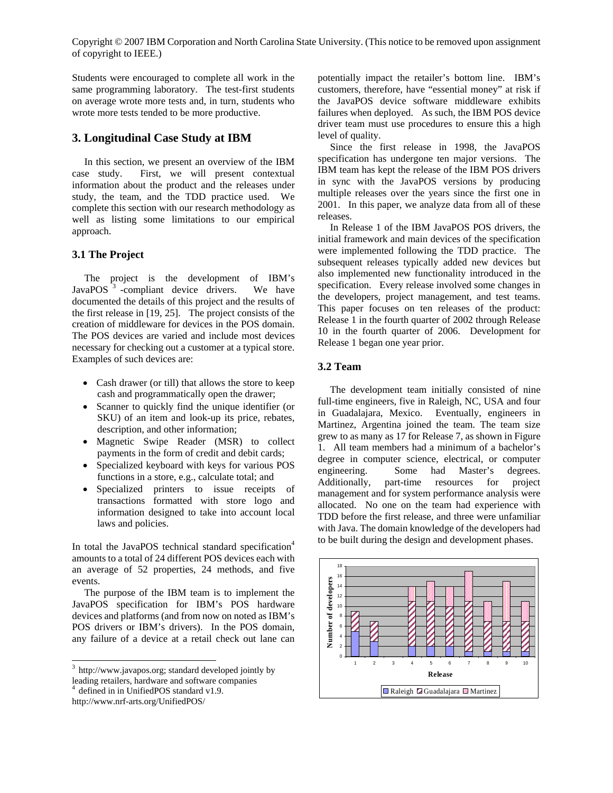Students were encouraged to complete all work in the same programming laboratory. The test-first students on average wrote more tests and, in turn, students who wrote more tests tended to be more productive.

# **3. Longitudinal Case Study at IBM**

In this section, we present an overview of the IBM case study. First, we will present contextual information about the product and the releases under study, the team, and the TDD practice used. We complete this section with our research methodology as well as listing some limitations to our empirical approach.

# **3.1 The Project**

The project is the development of IBM's JavaPOS<sup>3</sup> -compliant device drivers. We have documented the details of this project and the results of the first release in [19, 25]. The project consists of the creation of middleware for devices in the POS domain. The POS devices are varied and include most devices necessary for checking out a customer at a typical store. Examples of such devices are:

- Cash drawer (or till) that allows the store to keep cash and programmatically open the drawer;
- Scanner to quickly find the unique identifier (or SKU) of an item and look-up its price, rebates, description, and other information;
- Magnetic Swipe Reader (MSR) to collect payments in the form of credit and debit cards;
- Specialized keyboard with keys for various POS functions in a store, e.g., calculate total; and
- Specialized printers to issue receipts of transactions formatted with store logo and information designed to take into account local laws and policies.

In total the JavaPOS technical standard specification<sup>4</sup> amounts to a total of 24 different POS devices each with an average of 52 properties, 24 methods, and five events.

The purpose of the IBM team is to implement the JavaPOS specification for IBM's POS hardware devices and platforms (and from now on noted as IBM's POS drivers or IBM's drivers). In the POS domain, any failure of a device at a retail check out lane can

 $\overline{a}$ 

potentially impact the retailer's bottom line. IBM's customers, therefore, have "essential money" at risk if the JavaPOS device software middleware exhibits failures when deployed. As such, the IBM POS device driver team must use procedures to ensure this a high level of quality.

Since the first release in 1998, the JavaPOS specification has undergone ten major versions. The IBM team has kept the release of the IBM POS drivers in sync with the JavaPOS versions by producing multiple releases over the years since the first one in 2001. In this paper, we analyze data from all of these releases.

In Release 1 of the IBM JavaPOS POS drivers, the initial framework and main devices of the specification were implemented following the TDD practice. The subsequent releases typically added new devices but also implemented new functionality introduced in the specification. Every release involved some changes in the developers, project management, and test teams. This paper focuses on ten releases of the product: Release 1 in the fourth quarter of 2002 through Release 10 in the fourth quarter of 2006. Development for Release 1 began one year prior.

# **3.2 Team**

The development team initially consisted of nine full-time engineers, five in Raleigh, NC, USA and four in Guadalajara, Mexico. Eventually, engineers in Martinez, Argentina joined the team. The team size grew to as many as 17 for Release 7, as shown in Figure 1. All team members had a minimum of a bachelor's degree in computer science, electrical, or computer engineering. Some had Master's degrees. Additionally, part-time resources for project management and for system performance analysis were allocated. No one on the team had experience with TDD before the first release, and three were unfamiliar with Java. The domain knowledge of the developers had to be built during the design and development phases.



<sup>&</sup>lt;sup>3</sup> http://www.javapos.org; standard developed jointly by leading retailers, hardware and software companies

<sup>4</sup> defined in in UnifiedPOS standard v1.9.

http://www.nrf-arts.org/UnifiedPOS/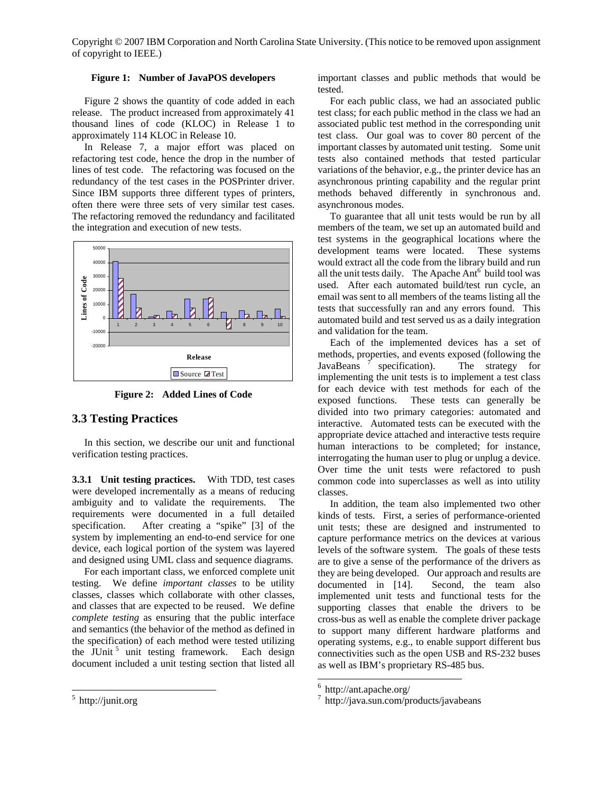## **Figure 1: Number of JavaPOS developers**

Figure 2 shows the quantity of code added in each release. The product increased from approximately 41 thousand lines of code (KLOC) in Release 1 to approximately 114 KLOC in Release 10.

In Release 7, a major effort was placed on refactoring test code, hence the drop in the number of lines of test code. The refactoring was focused on the redundancy of the test cases in the POSPrinter driver. Since IBM supports three different types of printers, often there were three sets of very similar test cases. The refactoring removed the redundancy and facilitated the integration and execution of new tests.



**Figure 2: Added Lines of Code** 

# **3.3 Testing Practices**

In this section, we describe our unit and functional verification testing practices.

**3.3.1 Unit testing practices.** With TDD, test cases were developed incrementally as a means of reducing ambiguity and to validate the requirements. The requirements were documented in a full detailed specification. After creating a "spike" [3] of the system by implementing an end-to-end service for one device, each logical portion of the system was layered and designed using UML class and sequence diagrams.

For each important class, we enforced complete unit testing. We define *important classes* to be utility classes, classes which collaborate with other classes, and classes that are expected to be reused. We define *complete testing* as ensuring that the public interface and semantics (the behavior of the method as defined in the specification) of each method were tested utilizing the JUnit  $5$  unit testing framework. Each design document included a unit testing section that listed all important classes and public methods that would be tested.

For each public class, we had an associated public test class; for each public method in the class we had an associated public test method in the corresponding unit test class. Our goal was to cover 80 percent of the important classes by automated unit testing. Some unit tests also contained methods that tested particular variations of the behavior, e.g., the printer device has an asynchronous printing capability and the regular print methods behaved differently in synchronous and. asynchronous modes.

To guarantee that all unit tests would be run by all members of the team, we set up an automated build and test systems in the geographical locations where the development teams were located. These systems would extract all the code from the library build and run all the unit tests daily. The Apache  $Ant<sup>6</sup>$  build tool was used. After each automated build/test run cycle, an email was sent to all members of the teams listing all the tests that successfully ran and any errors found. This automated build and test served us as a daily integration and validation for the team.

Each of the implemented devices has a set of methods, properties, and events exposed (following the JavaBeans<sup>7</sup> specification). The strategy for implementing the unit tests is to implement a test class for each device with test methods for each of the exposed functions. These tests can generally be divided into two primary categories: automated and interactive. Automated tests can be executed with the appropriate device attached and interactive tests require human interactions to be completed; for instance, interrogating the human user to plug or unplug a device. Over time the unit tests were refactored to push common code into superclasses as well as into utility classes.

In addition, the team also implemented two other kinds of tests. First, a series of performance-oriented unit tests; these are designed and instrumented to capture performance metrics on the devices at various levels of the software system. The goals of these tests are to give a sense of the performance of the drivers as they are being developed. Our approach and results are documented in [14]. Second, the team also implemented unit tests and functional tests for the supporting classes that enable the drivers to be cross-bus as well as enable the complete driver package to support many different hardware platforms and operating systems, e.g., to enable support different bus connectivities such as the open USB and RS-232 buses as well as IBM's proprietary RS-485 bus.

 $\frac{1}{5}$  http://junit.org

 6 http://ant.apache.org/

<sup>7</sup> http://java.sun.com/products/javabeans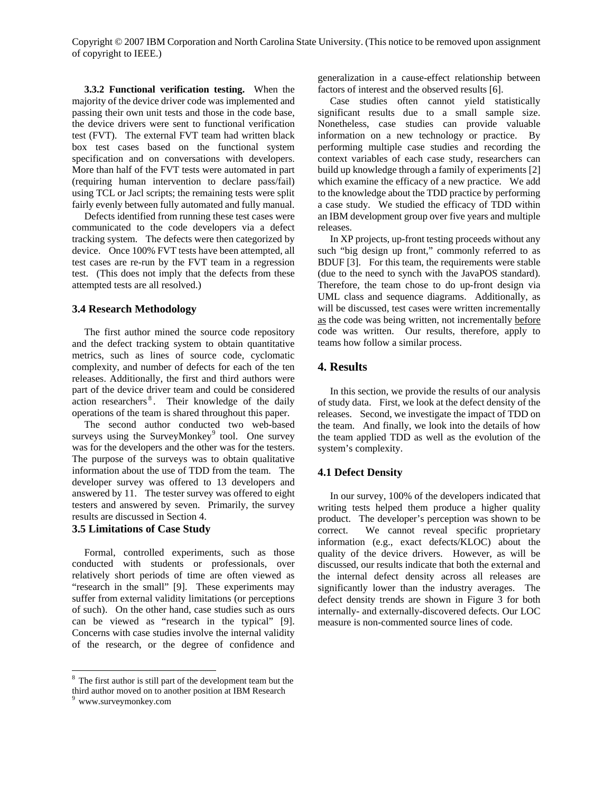**3.3.2 Functional verification testing.** When the majority of the device driver code was implemented and passing their own unit tests and those in the code base, the device drivers were sent to functional verification test (FVT). The external FVT team had written black box test cases based on the functional system specification and on conversations with developers. More than half of the FVT tests were automated in part (requiring human intervention to declare pass/fail) using TCL or Jacl scripts; the remaining tests were split fairly evenly between fully automated and fully manual.

Defects identified from running these test cases were communicated to the code developers via a defect tracking system. The defects were then categorized by device. Once 100% FVT tests have been attempted, all test cases are re-run by the FVT team in a regression test. (This does not imply that the defects from these attempted tests are all resolved.)

#### **3.4 Research Methodology**

The first author mined the source code repository and the defect tracking system to obtain quantitative metrics, such as lines of source code, cyclomatic complexity, and number of defects for each of the ten releases. Additionally, the first and third authors were part of the device driver team and could be considered action researchers<sup>8</sup>. Their knowledge of the daily operations of the team is shared throughout this paper.

The second author conducted two web-based surveys using the SurveyMonkey $9$  tool. One survey was for the developers and the other was for the testers. The purpose of the surveys was to obtain qualitative information about the use of TDD from the team. The developer survey was offered to 13 developers and answered by 11. The tester survey was offered to eight testers and answered by seven. Primarily, the survey results are discussed in Section 4.

## **3.5 Limitations of Case Study**

Formal, controlled experiments, such as those conducted with students or professionals, over relatively short periods of time are often viewed as "research in the small" [9]. These experiments may suffer from external validity limitations (or perceptions of such). On the other hand, case studies such as ours can be viewed as "research in the typical" [9]. Concerns with case studies involve the internal validity of the research, or the degree of confidence and

 $\overline{a}$ 

generalization in a cause-effect relationship between factors of interest and the observed results [6].

Case studies often cannot yield statistically significant results due to a small sample size. Nonetheless, case studies can provide valuable information on a new technology or practice. By performing multiple case studies and recording the context variables of each case study, researchers can build up knowledge through a family of experiments [2] which examine the efficacy of a new practice. We add to the knowledge about the TDD practice by performing a case study. We studied the efficacy of TDD within an IBM development group over five years and multiple releases.

In XP projects, up-front testing proceeds without any such "big design up front," commonly referred to as BDUF [3]. For this team, the requirements were stable (due to the need to synch with the JavaPOS standard). Therefore, the team chose to do up-front design via UML class and sequence diagrams. Additionally, as will be discussed, test cases were written incrementally as the code was being written, not incrementally before code was written. Our results, therefore, apply to teams how follow a similar process.

## **4. Results**

In this section, we provide the results of our analysis of study data. First, we look at the defect density of the releases. Second, we investigate the impact of TDD on the team. And finally, we look into the details of how the team applied TDD as well as the evolution of the system's complexity.

## **4.1 Defect Density**

In our survey, 100% of the developers indicated that writing tests helped them produce a higher quality product. The developer's perception was shown to be correct. We cannot reveal specific proprietary information (e.g., exact defects/KLOC) about the quality of the device drivers. However, as will be discussed, our results indicate that both the external and the internal defect density across all releases are significantly lower than the industry averages. The defect density trends are shown in Figure 3 for both internally- and externally-discovered defects. Our LOC measure is non-commented source lines of code.

<sup>&</sup>lt;sup>8</sup> The first author is still part of the development team but the third author moved on to another position at IBM Research

<sup>&</sup>lt;sup>9</sup> www.surveymonkey.com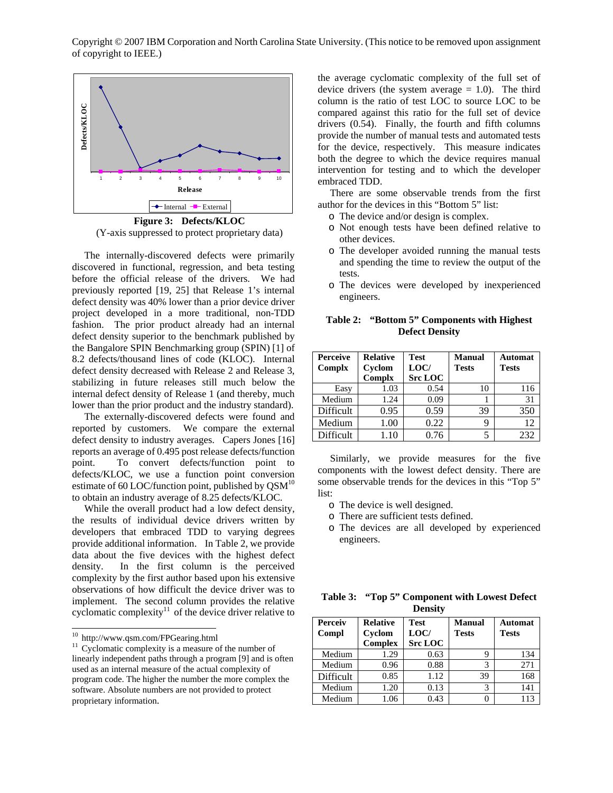

**Figure 3: Defects/KLOC**  (Y-axis suppressed to protect proprietary data)

The internally-discovered defects were primarily discovered in functional, regression, and beta testing before the official release of the drivers. We had previously reported [19, 25] that Release 1's internal defect density was 40% lower than a prior device driver project developed in a more traditional, non-TDD fashion. The prior product already had an internal defect density superior to the benchmark published by the Bangalore SPIN Benchmarking group (SPIN) [1] of 8.2 defects/thousand lines of code (KLOC). Internal defect density decreased with Release 2 and Release 3, stabilizing in future releases still much below the internal defect density of Release 1 (and thereby, much lower than the prior product and the industry standard).

The externally-discovered defects were found and reported by customers. We compare the external defect density to industry averages. Capers Jones [16] reports an average of 0.495 post release defects/function point. To convert defects/function point to defects/KLOC, we use a function point conversion estimate of 60 LOC/function point, published by  $\text{QSM}^{10}$ to obtain an industry average of 8.25 defects/KLOC.

While the overall product had a low defect density, the results of individual device drivers written by developers that embraced TDD to varying degrees provide additional information. In Table 2, we provide data about the five devices with the highest defect density. In the first column is the perceived complexity by the first author based upon his extensive observations of how difficult the device driver was to implement. The second column provides the relative cyclomatic complexity<sup>11</sup> of the device driver relative to

-

the average cyclomatic complexity of the full set of device drivers (the system average  $= 1.0$ ). The third column is the ratio of test LOC to source LOC to be compared against this ratio for the full set of device drivers (0.54). Finally, the fourth and fifth columns provide the number of manual tests and automated tests for the device, respectively. This measure indicates both the degree to which the device requires manual intervention for testing and to which the developer embraced TDD.

There are some observable trends from the first author for the devices in this "Bottom 5" list:

- o The device and/or design is complex.
- o Not enough tests have been defined relative to other devices.
- o The developer avoided running the manual tests and spending the time to review the output of the tests.
- o The devices were developed by inexperienced engineers.

**Table 2: "Bottom 5" Components with Highest Defect Density** 

| <b>Perceive</b><br>Complx | <b>Relative</b><br>Cyclom<br>Complx | <b>Test</b><br>LOC/<br><b>Src LOC</b> | <b>Manual</b><br><b>Tests</b> | <b>Automat</b><br><b>Tests</b> |
|---------------------------|-------------------------------------|---------------------------------------|-------------------------------|--------------------------------|
| Easy                      | 1.03                                | 0.54                                  | 10                            | 116                            |
| Medium                    | 1.24                                | 0.09                                  |                               | 31                             |
| Difficult                 | 0.95                                | 0.59                                  | 39                            | 350                            |
| Medium                    | 1.00                                | 0.22                                  |                               | 12                             |
| Difficult                 | 1.10                                | 0.76                                  |                               | 232                            |

Similarly, we provide measures for the five components with the lowest defect density. There are some observable trends for the devices in this "Top 5" list:

- o The device is well designed.
- o There are sufficient tests defined.
- o The devices are all developed by experienced engineers.

**Table 3: "Top 5" Component with Lowest Defect Density** 

| Perceiv<br>Compl | <b>Relative</b><br>Cyclom<br><b>Complex</b> | Test<br>LOC/<br><b>Src LOC</b> | <b>Manual</b><br><b>Tests</b> | Automat<br><b>Tests</b> |
|------------------|---------------------------------------------|--------------------------------|-------------------------------|-------------------------|
| Medium           | 1.29                                        | 0.63                           |                               | 134                     |
| Medium           | 0.96                                        | 0.88                           | 3                             | 271                     |
| Difficult        | 0.85                                        | 1.12                           | 39                            | 168                     |
| Medium           | 1.20                                        | 0.13                           | 3                             | 141                     |
| Medium           | 1.06                                        | 0.43                           |                               | 113                     |

<sup>&</sup>lt;sup>10</sup> http://www.qsm.com/FPGearing.html

 $11$  Cyclomatic complexity is a measure of the number of linearly independent paths through a program [9] and is often used as an internal measure of the actual complexity of program code. The higher the number the more complex the software. Absolute numbers are not provided to protect proprietary information.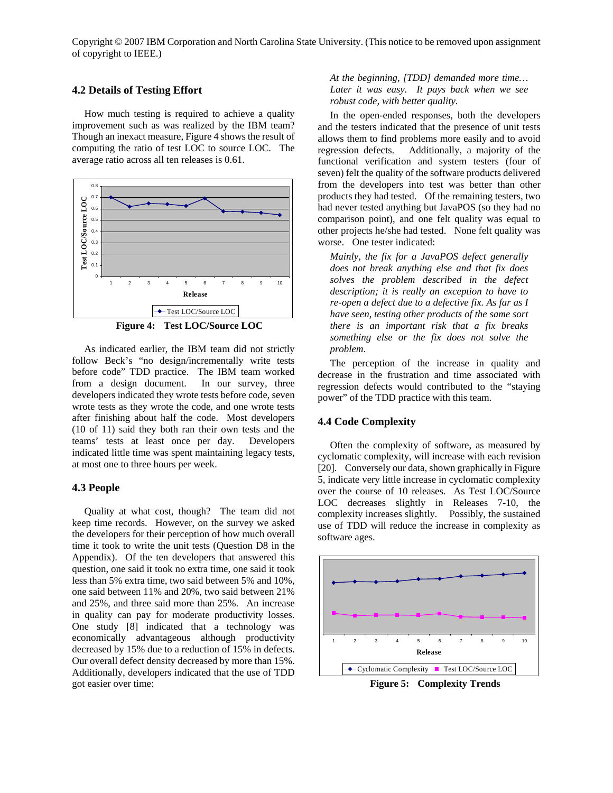#### **4.2 Details of Testing Effort**

How much testing is required to achieve a quality improvement such as was realized by the IBM team? Though an inexact measure, Figure 4 shows the result of computing the ratio of test LOC to source LOC. The average ratio across all ten releases is 0.61.



**Figure 4: Test LOC/Source LOC** 

As indicated earlier, the IBM team did not strictly follow Beck's "no design/incrementally write tests before code" TDD practice. The IBM team worked from a design document. In our survey, three developers indicated they wrote tests before code, seven wrote tests as they wrote the code, and one wrote tests after finishing about half the code. Most developers (10 of 11) said they both ran their own tests and the teams' tests at least once per day. Developers indicated little time was spent maintaining legacy tests, at most one to three hours per week.

## **4.3 People**

Quality at what cost, though? The team did not keep time records. However, on the survey we asked the developers for their perception of how much overall time it took to write the unit tests (Question D8 in the Appendix). Of the ten developers that answered this question, one said it took no extra time, one said it took less than 5% extra time, two said between 5% and 10%, one said between 11% and 20%, two said between 21% and 25%, and three said more than 25%. An increase in quality can pay for moderate productivity losses. One study [8] indicated that a technology was economically advantageous although productivity decreased by 15% due to a reduction of 15% in defects. Our overall defect density decreased by more than 15%. Additionally, developers indicated that the use of TDD got easier over time:

*At the beginning, [TDD] demanded more time… Later it was easy. It pays back when we see robust code, with better quality.*

In the open-ended responses, both the developers and the testers indicated that the presence of unit tests allows them to find problems more easily and to avoid regression defects. Additionally, a majority of the functional verification and system testers (four of seven) felt the quality of the software products delivered from the developers into test was better than other products they had tested. Of the remaining testers, two had never tested anything but JavaPOS (so they had no comparison point), and one felt quality was equal to other projects he/she had tested. None felt quality was worse. One tester indicated:

*Mainly, the fix for a JavaPOS defect generally does not break anything else and that fix does solves the problem described in the defect description; it is really an exception to have to re-open a defect due to a defective fix. As far as I have seen, testing other products of the same sort there is an important risk that a fix breaks something else or the fix does not solve the problem*.

The perception of the increase in quality and decrease in the frustration and time associated with regression defects would contributed to the "staying power" of the TDD practice with this team.

## **4.4 Code Complexity**

Often the complexity of software, as measured by cyclomatic complexity, will increase with each revision [20]. Conversely our data, shown graphically in Figure 5, indicate very little increase in cyclomatic complexity over the course of 10 releases. As Test LOC/Source LOC decreases slightly in Releases 7-10, the complexity increases slightly. Possibly, the sustained use of TDD will reduce the increase in complexity as software ages.



**Figure 5: Complexity Trends**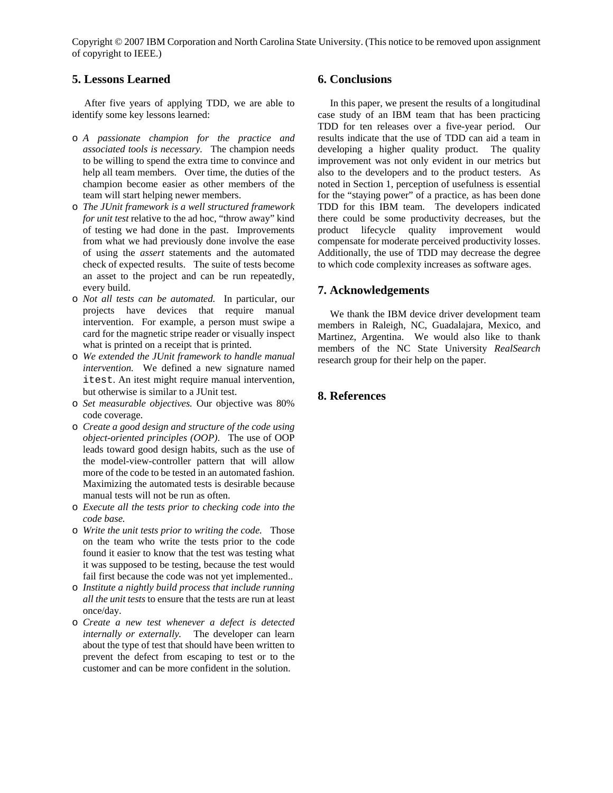# **5. Lessons Learned**

After five years of applying TDD, we are able to identify some key lessons learned:

- o *A passionate champion for the practice and associated tools is necessary.* The champion needs to be willing to spend the extra time to convince and help all team members. Over time, the duties of the champion become easier as other members of the team will start helping newer members.
- o *The JUnit framework is a well structured framework for unit test* relative to the ad hoc, "throw away" kind of testing we had done in the past. Improvements from what we had previously done involve the ease of using the *assert* statements and the automated check of expected results. The suite of tests become an asset to the project and can be run repeatedly, every build.
- o *Not all tests can be automated.* In particular, our projects have devices that require manual intervention. For example, a person must swipe a card for the magnetic stripe reader or visually inspect what is printed on a receipt that is printed.
- o *We extended the JUnit framework to handle manual intervention.* We defined a new signature named itest. An itest might require manual intervention, but otherwise is similar to a JUnit test.
- o *Set measurable objectives.* Our objective was 80% code coverage.
- o *Create a good design and structure of the code using object-oriented principles (OOP)*. The use of OOP leads toward good design habits, such as the use of the model-view-controller pattern that will allow more of the code to be tested in an automated fashion. Maximizing the automated tests is desirable because manual tests will not be run as often.
- o *Execute all the tests prior to checking code into the code base.*
- o *Write the unit tests prior to writing the code.* Those on the team who write the tests prior to the code found it easier to know that the test was testing what it was supposed to be testing, because the test would fail first because the code was not yet implemented..
- o *Institute a nightly build process that include running all the unit tests* to ensure that the tests are run at least once/day.
- o *Create a new test whenever a defect is detected internally or externally.* The developer can learn about the type of test that should have been written to prevent the defect from escaping to test or to the customer and can be more confident in the solution.

# **6. Conclusions**

In this paper, we present the results of a longitudinal case study of an IBM team that has been practicing TDD for ten releases over a five-year period. Our results indicate that the use of TDD can aid a team in developing a higher quality product. The quality improvement was not only evident in our metrics but also to the developers and to the product testers. As noted in Section 1, perception of usefulness is essential for the "staying power" of a practice, as has been done TDD for this IBM team. The developers indicated there could be some productivity decreases, but the product lifecycle quality improvement would compensate for moderate perceived productivity losses. Additionally, the use of TDD may decrease the degree to which code complexity increases as software ages.

# **7. Acknowledgements**

We thank the IBM device driver development team members in Raleigh, NC, Guadalajara, Mexico, and Martinez, Argentina. We would also like to thank members of the NC State University *RealSearch* research group for their help on the paper.

## **8. References**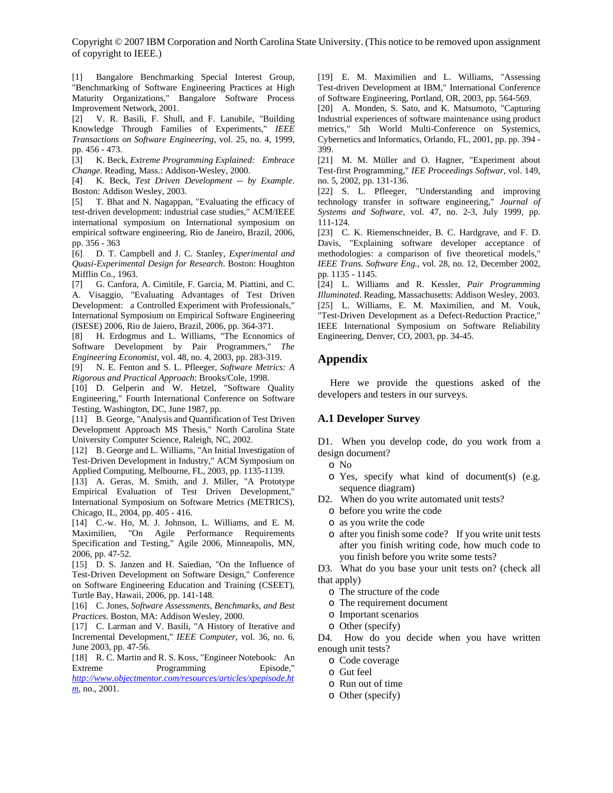[1] Bangalore Benchmarking Special Interest Group, "Benchmarking of Software Engineering Practices at High Maturity Organizations," Bangalore Software Process Improvement Network, 2001.

[2] V. R. Basili, F. Shull, and F. Lanubile, "Building Knowledge Through Families of Experiments," *IEEE Transactions on Software Engineering*, vol. 25, no. 4, 1999, pp. 456 - 473.

[3] K. Beck, *Extreme Programming Explained: Embrace Change*. Reading, Mass.: Addison-Wesley, 2000.

[4] K. Beck, *Test Driven Development -- by Example*. Boston: Addison Wesley, 2003.

[5] T. Bhat and N. Nagappan, "Evaluating the efficacy of test-driven development: industrial case studies," ACM/IEEE international symposium on International symposium on empirical software engineering, Rio de Janeiro, Brazil, 2006, pp. 356 - 363

[6] D. T. Campbell and J. C. Stanley, *Experimental and Quasi-Experimental Design for Research*. Boston: Houghton Mifflin Co., 1963.

[7] G. Canfora, A. Cimitile, F. Garcia, M. Piattini, and C. A. Visaggio, "Evaluating Advantages of Test Driven Development: a Controlled Experiment with Professionals," International Symposium on Empirical Software Engineering (ISESE) 2006, Rio de Jaiero, Brazil, 2006, pp. 364-371.

[8] H. Erdogmus and L. Williams, "The Economics of Software Development by Pair Programmers," *The Engineering Economist*, vol. 48, no. 4, 2003, pp. 283-319.

[9] N. E. Fenton and S. L. Pfleeger, *Software Metrics: A Rigorous and Practical Approach*: Brooks/Cole, 1998.

[10] D. Gelperin and W. Hetzel, "Software Quality Engineering," Fourth International Conference on Software Testing, Washington, DC, June 1987, pp.

[11] B. George, "Analysis and Quantification of Test Driven Development Approach MS Thesis," North Carolina State University Computer Science, Raleigh, NC, 2002.

[12] B. George and L. Williams, "An Initial Investigation of Test-Driven Development in Industry," ACM Symposium on Applied Computing, Melbourne, FL, 2003, pp. 1135-1139.

[13] A. Geras, M. Smith, and J. Miller, "A Prototype Empirical Evaluation of Test Driven Development," International Symposium on Software Metrics (METRICS), Chicago, IL, 2004, pp. 405 - 416.

[14] C.-w. Ho, M. J. Johnson, L. Williams, and E. M. Maximilien, "On Agile Performance Requirements Specification and Testing," Agile 2006, Minneapolis, MN, 2006, pp. 47-52.

[15] D. S. Janzen and H. Saiedian, "On the Influence of Test-Driven Development on Software Design," Conference on Software Engineering Education and Training (CSEET), Turtle Bay, Hawaii, 2006, pp. 141-148.

[16] C. Jones, *Software Assessments, Benchmarks, and Best Practices*. Boston, MA: Addison Wesley, 2000.

[17] C. Larman and V. Basili, "A History of Iterative and Incremental Development," *IEEE Computer*, vol. 36, no. 6, June 2003, pp. 47-56.

[18] R. C. Martin and R. S. Koss, "Engineer Notebook: An Extreme Programming Episode,"

*http://www.objectmentor.com/resources/articles/xpepisode.ht m*, no., 2001.

[19] E. M. Maximilien and L. Williams, "Assessing Test-driven Development at IBM," International Conference of Software Engineering, Portland, OR, 2003, pp. 564-569.

[20] A. Monden, S. Sato, and K. Matsumoto, "Capturing Industrial experiences of software maintenance using product metrics," 5th World Multi-Conference on Systemics, Cybernetics and Informatics, Orlando, FL, 2001, pp. pp. 394 - 399.

[21] M. M. Müller and O. Hagner, "Experiment about Test-first Programming," *IEE Proceedings Softwar*, vol. 149, no. 5, 2002, pp. 131-136.

[22] S. L. Pfleeger, "Understanding and improving technology transfer in software engineering," *Journal of Systems and Software*, vol. 47, no. 2-3, July 1999, pp. 111-124.

[23] C. K. Riemenschneider, B. C. Hardgrave, and F. D. Davis, "Explaining software developer acceptance of methodologies: a comparison of five theoretical models," *IEEE Trans. Software Eng.*, vol. 28, no. 12, December 2002, pp. 1135 - 1145.

[24] L. Williams and R. Kessler, *Pair Programming Illuminated*. Reading, Massachusetts: Addison Wesley, 2003. [25] L. Williams, E. M. Maximilien, and M. Vouk, "Test-Driven Development as a Defect-Reduction Practice," IEEE International Symposium on Software Reliability Engineering, Denver, CO, 2003, pp. 34-45.

## **Appendix**

Here we provide the questions asked of the developers and testers in our surveys.

# **A.1 Developer Survey**

D1. When you develop code, do you work from a design document?

- o No
- o Yes, specify what kind of document(s) (e.g. sequence diagram)
- D2. When do you write automated unit tests?
	- o before you write the code
	- o as you write the code
	- o after you finish some code? If you write unit tests after you finish writing code, how much code to you finish before you write some tests?

D3. What do you base your unit tests on? (check all that apply)

- o The structure of the code
- o The requirement document
- o Important scenarios
- o Other (specify)

D4. How do you decide when you have written enough unit tests?

- o Code coverage
- o Gut feel
- o Run out of time
- o Other (specify)